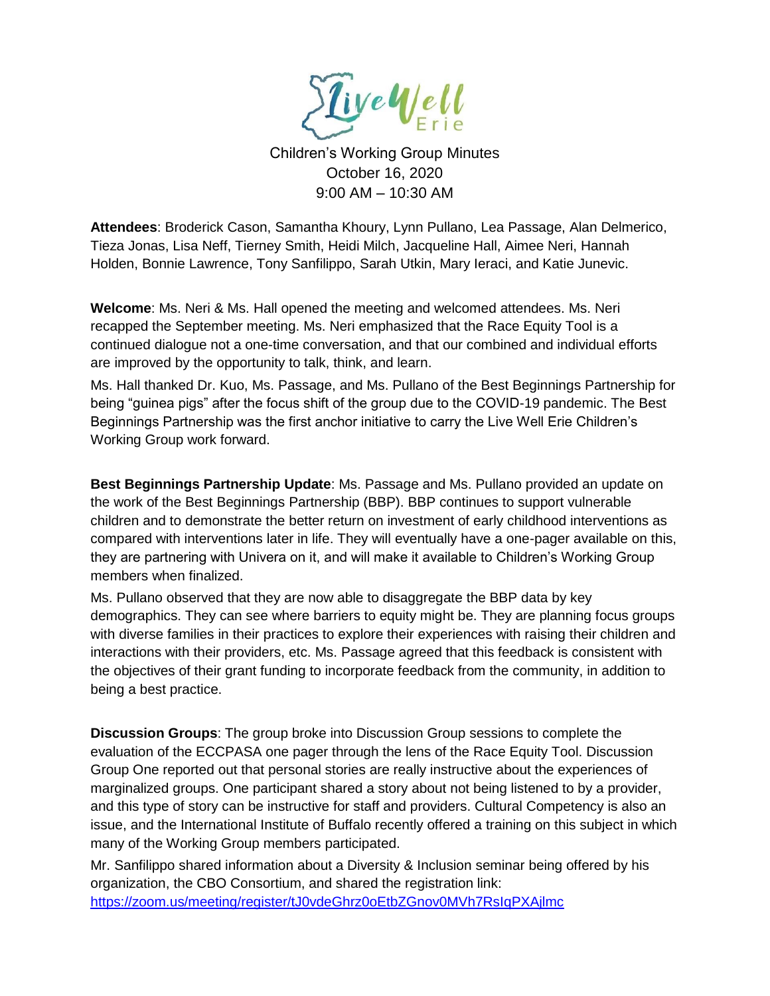

Children's Working Group Minutes October 16, 2020 9:00 AM – 10:30 AM

**Attendees**: Broderick Cason, Samantha Khoury, Lynn Pullano, Lea Passage, Alan Delmerico, Tieza Jonas, Lisa Neff, Tierney Smith, Heidi Milch, Jacqueline Hall, Aimee Neri, Hannah Holden, Bonnie Lawrence, Tony Sanfilippo, Sarah Utkin, Mary Ieraci, and Katie Junevic.

**Welcome**: Ms. Neri & Ms. Hall opened the meeting and welcomed attendees. Ms. Neri recapped the September meeting. Ms. Neri emphasized that the Race Equity Tool is a continued dialogue not a one-time conversation, and that our combined and individual efforts are improved by the opportunity to talk, think, and learn.

Ms. Hall thanked Dr. Kuo, Ms. Passage, and Ms. Pullano of the Best Beginnings Partnership for being "guinea pigs" after the focus shift of the group due to the COVID-19 pandemic. The Best Beginnings Partnership was the first anchor initiative to carry the Live Well Erie Children's Working Group work forward.

**Best Beginnings Partnership Update**: Ms. Passage and Ms. Pullano provided an update on the work of the Best Beginnings Partnership (BBP). BBP continues to support vulnerable children and to demonstrate the better return on investment of early childhood interventions as compared with interventions later in life. They will eventually have a one-pager available on this, they are partnering with Univera on it, and will make it available to Children's Working Group members when finalized.

Ms. Pullano observed that they are now able to disaggregate the BBP data by key demographics. They can see where barriers to equity might be. They are planning focus groups with diverse families in their practices to explore their experiences with raising their children and interactions with their providers, etc. Ms. Passage agreed that this feedback is consistent with the objectives of their grant funding to incorporate feedback from the community, in addition to being a best practice.

**Discussion Groups**: The group broke into Discussion Group sessions to complete the evaluation of the ECCPASA one pager through the lens of the Race Equity Tool. Discussion Group One reported out that personal stories are really instructive about the experiences of marginalized groups. One participant shared a story about not being listened to by a provider, and this type of story can be instructive for staff and providers. Cultural Competency is also an issue, and the International Institute of Buffalo recently offered a training on this subject in which many of the Working Group members participated.

Mr. Sanfilippo shared information about a Diversity & Inclusion seminar being offered by his organization, the CBO Consortium, and shared the registration link: <https://zoom.us/meeting/register/tJ0vdeGhrz0oEtbZGnov0MVh7RsIqPXAjlmc>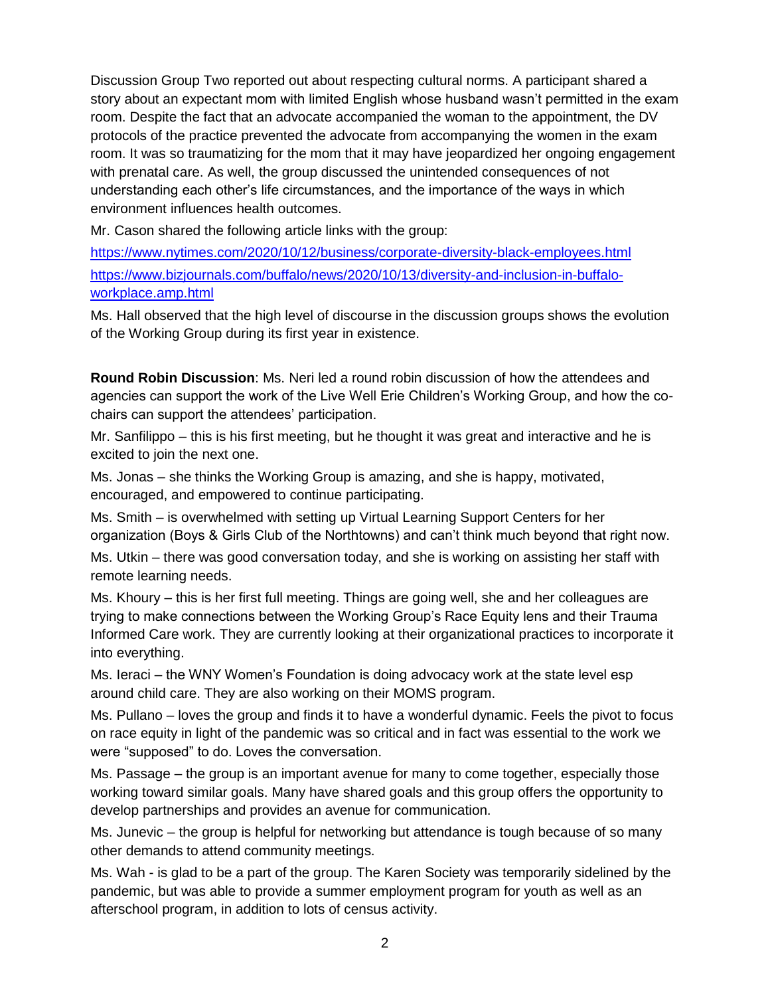Discussion Group Two reported out about respecting cultural norms. A participant shared a story about an expectant mom with limited English whose husband wasn't permitted in the exam room. Despite the fact that an advocate accompanied the woman to the appointment, the DV protocols of the practice prevented the advocate from accompanying the women in the exam room. It was so traumatizing for the mom that it may have jeopardized her ongoing engagement with prenatal care. As well, the group discussed the unintended consequences of not understanding each other's life circumstances, and the importance of the ways in which environment influences health outcomes.

Mr. Cason shared the following article links with the group:

<https://www.nytimes.com/2020/10/12/business/corporate-diversity-black-employees.html> [https://www.bizjournals.com/buffalo/news/2020/10/13/diversity-and-inclusion-in-buffalo](https://www.bizjournals.com/buffalo/news/2020/10/13/diversity-and-inclusion-in-buffalo-workplace.amp.html)[workplace.amp.html](https://www.bizjournals.com/buffalo/news/2020/10/13/diversity-and-inclusion-in-buffalo-workplace.amp.html)

Ms. Hall observed that the high level of discourse in the discussion groups shows the evolution of the Working Group during its first year in existence.

**Round Robin Discussion**: Ms. Neri led a round robin discussion of how the attendees and agencies can support the work of the Live Well Erie Children's Working Group, and how the cochairs can support the attendees' participation.

Mr. Sanfilippo – this is his first meeting, but he thought it was great and interactive and he is excited to join the next one.

Ms. Jonas – she thinks the Working Group is amazing, and she is happy, motivated, encouraged, and empowered to continue participating.

Ms. Smith – is overwhelmed with setting up Virtual Learning Support Centers for her organization (Boys & Girls Club of the Northtowns) and can't think much beyond that right now.

Ms. Utkin – there was good conversation today, and she is working on assisting her staff with remote learning needs.

Ms. Khoury – this is her first full meeting. Things are going well, she and her colleagues are trying to make connections between the Working Group's Race Equity lens and their Trauma Informed Care work. They are currently looking at their organizational practices to incorporate it into everything.

Ms. Ieraci – the WNY Women's Foundation is doing advocacy work at the state level esp around child care. They are also working on their MOMS program.

Ms. Pullano – loves the group and finds it to have a wonderful dynamic. Feels the pivot to focus on race equity in light of the pandemic was so critical and in fact was essential to the work we were "supposed" to do. Loves the conversation.

Ms. Passage – the group is an important avenue for many to come together, especially those working toward similar goals. Many have shared goals and this group offers the opportunity to develop partnerships and provides an avenue for communication.

Ms. Junevic – the group is helpful for networking but attendance is tough because of so many other demands to attend community meetings.

Ms. Wah - is glad to be a part of the group. The Karen Society was temporarily sidelined by the pandemic, but was able to provide a summer employment program for youth as well as an afterschool program, in addition to lots of census activity.